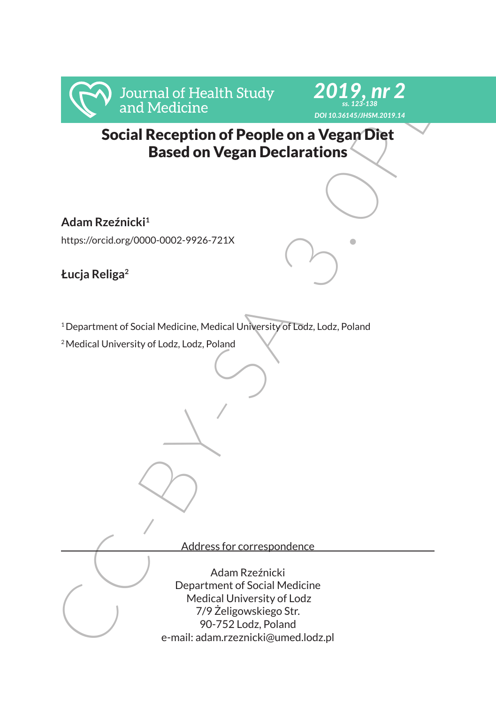



Social Reception of People on a Vegan Diet Based on Vegan Declarations

**Adam Rzeźnicki<sup>1</sup>**

https://orcid.org/0000-0002-9926-721X

**Łucja Religa<sup>2</sup>**

<sup>1</sup> Department of Social Medicine, Medical University of Lodz, Lodz, Poland

<sup>2</sup>Medical University of Lodz, Lodz, Poland

Address for correspondence

From the Social Reception of People on a Vegan Diet<br>
Social Reception of People on a Vegan Diet<br>
Based on Vegan Declarations<br>
Adam Rzeźnicki<sup>2</sup><br>
Mtgs://orcidorg/0000-0002-9926-721X<br>
Lucja Religa<sup>2</sup><br>
<sup>2</sup><br>
Pepartment of Soci Adam Rzeźnicki Department of Social Medicine Medical University of Lodz 7/9 Żeligowskiego Str. 90-752 Lodz, Poland e-mail: adam.rzeznicki@umed.lodz.pl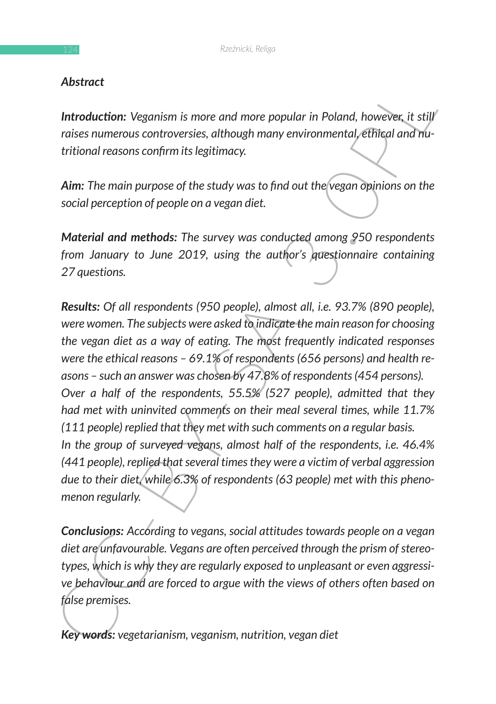## *Abstract*

**Introduction:** Veganism is more and more popular in Poland, however, it still *raises numerous controversies, although many environmental, ethical and nutritional reasons confirm its legitimacy.*

*Aim: The main purpose of the study was to find out the vegan opinions on the social perception of people on a vegan diet.*

*Material and methods: The survey was conducted among 950 respondents from January to June 2019, using the author's questionnaire containing 27 questions.*

Motival Controllarism is more and more popular in Poland, however, it still<br>
raises numerous controversies, although many environmental, efflical and rul-<br>
tritional reasons confirm its legitimacy.<br>
Aim: The main purpose o *Results: Of all respondents (950 people), almost all, i.e. 93.7% (890 people), were women. The subjects were asked to indicate the main reason for choosing the vegan diet as a way of eating. The most frequently indicated responses were the ethical reasons – 69.1% of respondents (656 persons) and health reasons – such an answer was chosen by 47.8% of respondents (454 persons). Over a half of the respondents, 55.5% (527 people), admitted that they had met with uninvited comments on their meal several times, while 11.7% (111 people) replied that they met with such comments on a regular basis. In the group of surveyed vegans, almost half of the respondents, i.e. 46.4% (441 people), replied that several times they were a victim of verbal aggression due to their diet, while 6.3% of respondents (63 people) met with this phenomenon regularly.*

**Conclusions:** According to vegans, social attitudes towards people on a vegan *diet are unfavourable. Vegans are often perceived through the prism of stereotypes, which is why they are regularly exposed to unpleasant or even aggressive behaviour and are forced to argue with the views of others often based on false premises.*

*Key words: vegetarianism, veganism, nutrition, vegan diet*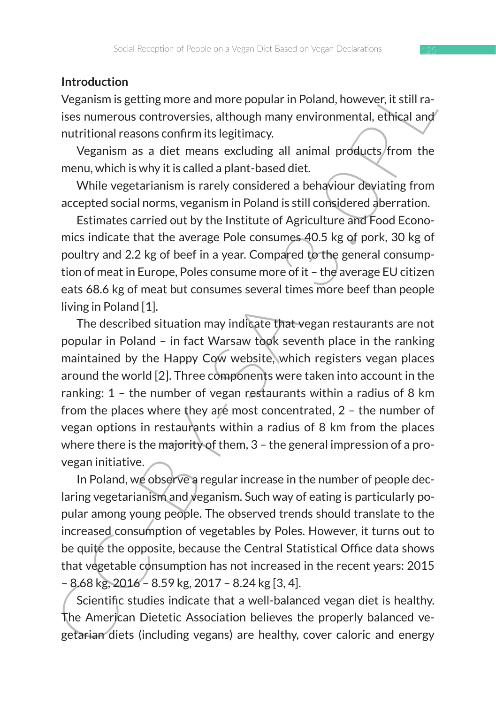### **Introduction**

Veganism is getting more and more popular in Poland, however, it still raises numerous controversies, although many environmental, ethical and nutritional reasons confirm its legitimacy.

Veganism as a diet means excluding all animal products from the menu, which is why it is called a plant-based diet.

While vegetarianism is rarely considered a behaviour deviating from accepted social norms, veganism in Poland is still considered aberration.

Estimates carried out by the Institute of Agriculture and Food Economics indicate that the average Pole consumes 40.5 kg of pork, 30 kg of poultry and 2.2 kg of beef in a year. Compared to the general consumption of meat in Europe, Poles consume more of it – the average EU citizen eats 68.6 kg of meat but consumes several times more beef than people living in Poland [1].

In veroculation<br>
Weganism is getting more and more popular in Poland, however, it still ra-<br>
ises numerous controversies, although many environmental, ethical and<br>
nutritional reasons confirm its legitimacy.<br>
Veganism as The described situation may indicate that vegan restaurants are not popular in Poland – in fact Warsaw took seventh place in the ranking maintained by the Happy Cow website, which registers vegan places around the world [2]. Three components were taken into account in the ranking: 1 – the number of vegan restaurants within a radius of 8 km from the places where they are most concentrated, 2 - the number of vegan options in restaurants within a radius of 8 km from the places where there is the majority of them, 3 – the general impression of a provegan initiative.

In Poland, we observe a regular increase in the number of people declaring vegetarianism and veganism. Such way of eating is particularly popular among young people. The observed trends should translate to the increased consumption of vegetables by Poles. However, it turns out to be quite the opposite, because the Central Statistical Office data shows that vegetable consumption has not increased in the recent years: 2015 – 8.68 kg, 2016 – 8.59 kg, 2017 – 8.24 kg [3, 4].

Scientific studies indicate that a well-balanced vegan diet is healthy. The American Dietetic Association believes the properly balanced vegetarian diets (including vegans) are healthy, cover caloric and energy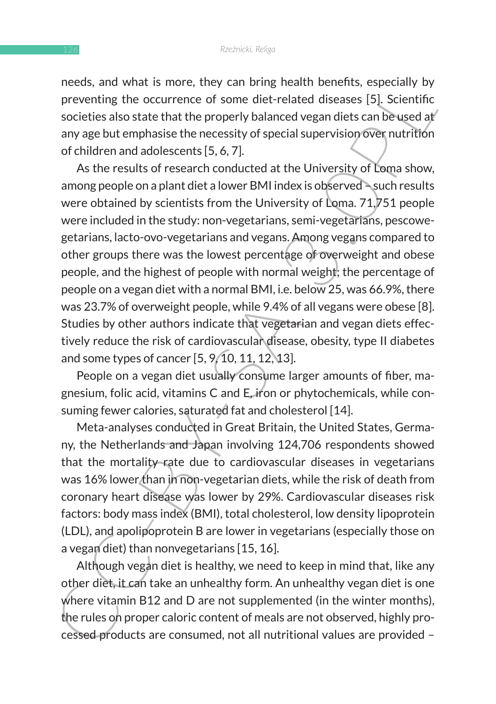needs, and what is more, they can bring health benefits, especially by preventing the occurrence of some diet-related diseases [5]. Scientific societies also state that the properly balanced vegan diets can be used at any age but emphasise the necessity of special supervision over nutrition of children and adolescents [5, 6, 7].

heads, all wow is millor, they call bring leading eneries, spectrally by preventing the occurrence of some diet-related diseases [5]. Scientific societies also state that the properly balanced vegan diets can be used at<br>a As the results of research conducted at the University of Loma show, among people on a plant diet a lower BMI index is observed – such results were obtained by scientists from the University of Loma. 71,751 people were included in the study: non-vegetarians, semi-vegetarians, pescowegetarians, lacto-ovo-vegetarians and vegans. Among vegans compared to other groups there was the lowest percentage of overweight and obese people, and the highest of people with normal weight; the percentage of people on a vegan diet with a normal BMI, i.e. below 25, was 66.9%, there was 23.7% of overweight people, while 9.4% of all vegans were obese [8]. Studies by other authors indicate that vegetarian and vegan diets effectively reduce the risk of cardiovascular disease, obesity, type II diabetes and some types of cancer [5, 9, 10, 11, 12, 13].

People on a vegan diet usually consume larger amounts of fiber, magnesium, folic acid, vitamins C and E, iron or phytochemicals, while consuming fewer calories, saturated fat and cholesterol [14].

Meta-analyses conducted in Great Britain, the United States, Germany, the Netherlands and Japan involving 124,706 respondents showed that the mortality rate due to cardiovascular diseases in vegetarians was 16% lower than in non-vegetarian diets, while the risk of death from coronary heart disease was lower by 29%. Cardiovascular diseases risk factors: body mass index (BMI), total cholesterol, low density lipoprotein (LDL), and apolipoprotein B are lower in vegetarians (especially those on a vegan diet) than nonvegetarians [15, 16].

Although vegan diet is healthy, we need to keep in mind that, like any other diet, it can take an unhealthy form. An unhealthy vegan diet is one where vitamin B12 and D are not supplemented (in the winter months), the rules on proper caloric content of meals are not observed, highly processed products are consumed, not all nutritional values are provided –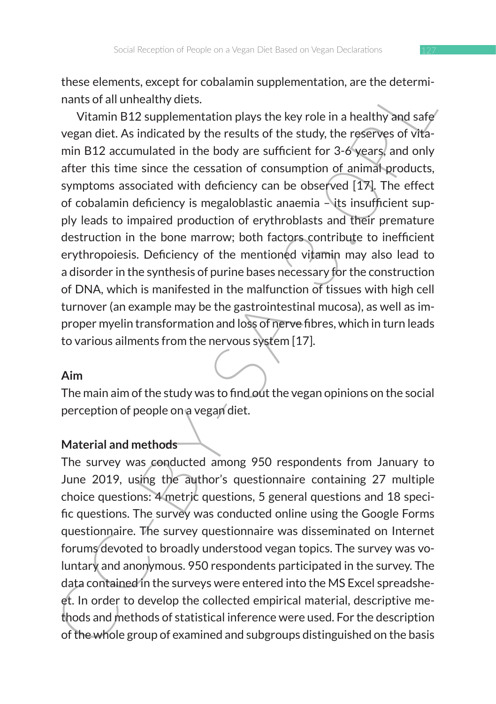these elements, except for cobalamin supplementation, are the determinants of all unhealthy diets.

these terminist, except to roual and thods<br>
anals of all unhealthy diets.<br>
The matter of all unhealthy diets.<br>
Vitamin B12 supplementation plays the key role in a healthy and safe<br>
vegan diet. As indicated by the results o Vitamin B12 supplementation plays the key role in a healthy and safe vegan diet. As indicated by the results of the study, the reserves of vitamin B12 accumulated in the body are sufficient for 3-6 years, and only after this time since the cessation of consumption of animal products, symptoms associated with deficiency can be observed [17]. The effect of cobalamin deficiency is megaloblastic anaemia  $-\sqrt{t}$ ts insufficient supply leads to impaired production of erythroblasts and their premature destruction in the bone marrow; both factors contribute to inefficient erythropoiesis. Deficiency of the mentioned vitamin may also lead to a disorder in the synthesis of purine bases necessary for the construction of DNA, which is manifested in the malfunction of tissues with high cell turnover (an example may be the gastrointestinal mucosa), as well as improper myelin transformation and loss of nerve fibres, which in turn leads to various ailments from the nervous system [17].

#### **Aim**

The main aim of the study was to find out the vegan opinions on the social perception of people on a vegan diet.

# **Material and methods**

The survey was conducted among 950 respondents from January to June 2019, using the author's questionnaire containing 27 multiple choice questions: 4 metric questions, 5 general questions and 18 specific questions. The survey was conducted online using the Google Forms questionnaire. The survey questionnaire was disseminated on Internet forums devoted to broadly understood vegan topics. The survey was voluntary and anonymous. 950 respondents participated in the survey. The data contained in the surveys were entered into the MS Excel spreadsheet. In order to develop the collected empirical material, descriptive methods and methods of statistical inference were used. For the description of the whole group of examined and subgroups distinguished on the basis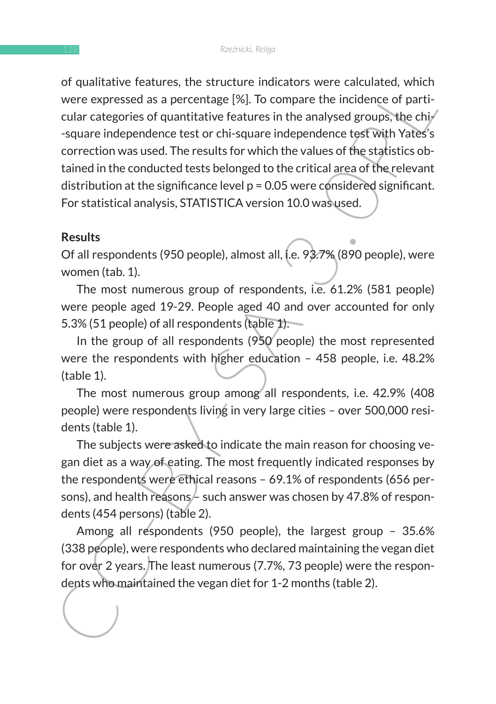or upuntarive leadings, ine structure inutidary were expressed as a percentage [%]. To compare the incidence of particular categories of quantitative features in the analysed groups, the chipsed correction was used. The re of qualitative features, the structure indicators were calculated, which were expressed as a percentage [%]. To compare the incidence of particular categories of quantitative features in the analysed groups, the chi- $\ell$ -square independence test or chi-square independence test with Yates's correction was used. The results for which the values of the statistics obtained in the conducted tests belonged to the critical area of the relevant distribution at the significance level  $p = 0.05$  were considered significant. For statistical analysis, STATISTICA version 10.0 was used.

#### **Results**

Of all respondents (950 people), almost all, i.e. 93.7% (890 people), were women (tab. 1).

The most numerous group of respondents, i.e. 61.2% (581 people) were people aged 19-29. People aged 40 and over accounted for only 5.3% (51 people) of all respondents (table 1).

In the group of all respondents (950 people) the most represented were the respondents with higher education – 458 people, i.e. 48.2% (table 1).

The most numerous group among all respondents, i.e. 42.9% (408 people) were respondents living in very large cities – over 500,000 residents (table 1).

The subjects were asked to indicate the main reason for choosing vegan diet as a way of eating. The most frequently indicated responses by the respondents were ethical reasons – 69.1% of respondents (656 persons), and health reasons  $\neq$  such answer was chosen by 47.8% of respondents (454 persons) (table 2).

Among all respondents (950 people), the largest group – 35.6% (338 people), were respondents who declared maintaining the vegan diet for over 2 years. The least numerous (7.7%, 73 people) were the respondents who maintained the vegan diet for 1-2 months (table 2).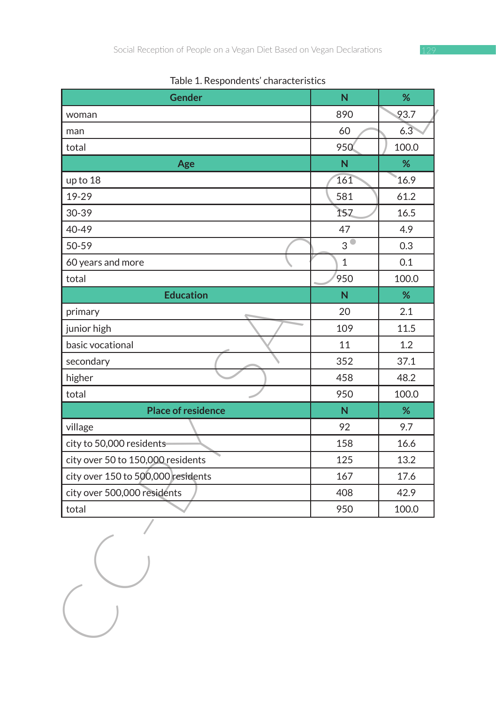| Table 1. Respondents' characteristics |  |  |  |
|---------------------------------------|--|--|--|
|---------------------------------------|--|--|--|

| Gender                             | N                       | %     |
|------------------------------------|-------------------------|-------|
| woman                              | 890                     | 93.7  |
| man                                | 60                      | 6.3   |
| total                              | 950                     | 100.0 |
| Age                                | $\overline{\mathsf{N}}$ | %     |
| up to 18                           | 161                     | 16.9  |
| 19-29                              | 581                     | 61.2  |
| 30-39                              | 157                     | 16.5  |
| 40-49                              | 47                      | 4.9   |
| 50-59                              | 3 <sup>°</sup>          | 0.3   |
| 60 years and more                  | $\mathbf{1}$            | 0.1   |
| total                              | 950                     | 100.0 |
| <b>Education</b>                   | ${\sf N}$               | $\%$  |
| primary                            | 20                      | 2.1   |
| junior high                        | 109                     | 11.5  |
| basic vocational                   | 11                      | 1.2   |
| secondary                          | 352                     | 37.1  |
| higher                             | 458                     | 48.2  |
| total                              | 950                     | 100.0 |
| <b>Place of residence</b>          | N.                      | %     |
| village                            | 92                      | 9.7   |
| city to 50,000 residents           | 158                     | 16.6  |
| city over 50 to 150,000 residents  | 125                     | 13.2  |
| city over 150 to 500,000 residents | 167                     | 17.6  |
| city over 500,000 residents        | 408                     | 42.9  |
| total                              | 950                     | 100.0 |
|                                    |                         |       |

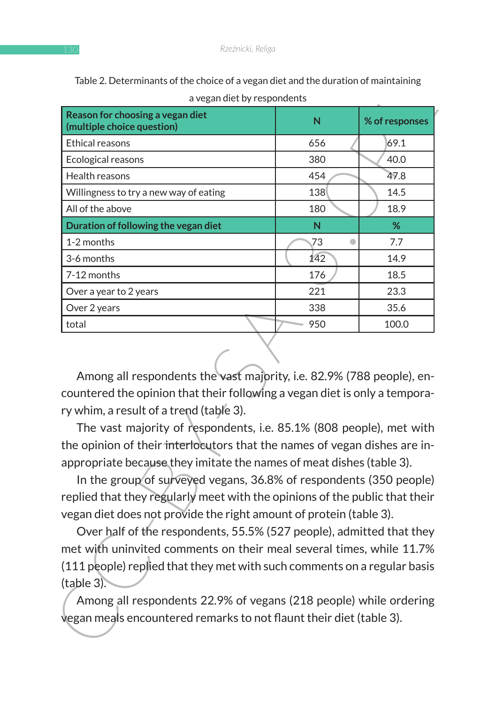| a vegan diet by respondents                                                                                                                                                                                                                                                                                                                                                                                                                                                                                                                                                                                                                                                                                                                                                                                                                                                                 |                 |                |
|---------------------------------------------------------------------------------------------------------------------------------------------------------------------------------------------------------------------------------------------------------------------------------------------------------------------------------------------------------------------------------------------------------------------------------------------------------------------------------------------------------------------------------------------------------------------------------------------------------------------------------------------------------------------------------------------------------------------------------------------------------------------------------------------------------------------------------------------------------------------------------------------|-----------------|----------------|
| Reason for choosing a vegan diet<br>(multiple choice question)                                                                                                                                                                                                                                                                                                                                                                                                                                                                                                                                                                                                                                                                                                                                                                                                                              | N               | % of responses |
| <b>Ethical reasons</b>                                                                                                                                                                                                                                                                                                                                                                                                                                                                                                                                                                                                                                                                                                                                                                                                                                                                      | 656             | 69.1           |
| Ecological reasons                                                                                                                                                                                                                                                                                                                                                                                                                                                                                                                                                                                                                                                                                                                                                                                                                                                                          | 380             | 40.0           |
| Health reasons                                                                                                                                                                                                                                                                                                                                                                                                                                                                                                                                                                                                                                                                                                                                                                                                                                                                              | 454             | 47.8           |
| Willingness to try a new way of eating                                                                                                                                                                                                                                                                                                                                                                                                                                                                                                                                                                                                                                                                                                                                                                                                                                                      | 138             | 14.5           |
| All of the above                                                                                                                                                                                                                                                                                                                                                                                                                                                                                                                                                                                                                                                                                                                                                                                                                                                                            | 180             | 18.9           |
| Duration of following the vegan diet                                                                                                                                                                                                                                                                                                                                                                                                                                                                                                                                                                                                                                                                                                                                                                                                                                                        | N               | %              |
| 1-2 months                                                                                                                                                                                                                                                                                                                                                                                                                                                                                                                                                                                                                                                                                                                                                                                                                                                                                  | 73<br>$\bullet$ | 7.7            |
| 3-6 months                                                                                                                                                                                                                                                                                                                                                                                                                                                                                                                                                                                                                                                                                                                                                                                                                                                                                  | 142             | 14.9           |
| 7-12 months                                                                                                                                                                                                                                                                                                                                                                                                                                                                                                                                                                                                                                                                                                                                                                                                                                                                                 | 176             | 18.5           |
| Over a year to 2 years                                                                                                                                                                                                                                                                                                                                                                                                                                                                                                                                                                                                                                                                                                                                                                                                                                                                      | 221             | 23.3           |
| Over 2 years                                                                                                                                                                                                                                                                                                                                                                                                                                                                                                                                                                                                                                                                                                                                                                                                                                                                                | 338             | 35.6           |
| total                                                                                                                                                                                                                                                                                                                                                                                                                                                                                                                                                                                                                                                                                                                                                                                                                                                                                       | 950             | 100.0          |
| countered the opinion that their following a vegan diet is only a tempora-<br>ry whim, a result of a trend (table 3).<br>The vast majority of respondents, i.e. 85.1% (808 people), met with<br>the opinion of their interlocutors that the names of vegan dishes are in-<br>appropriate because they imitate the names of meat dishes (table 3).<br>In the group of surveyed vegans, 36.8% of respondents (350 people)<br>replied that they regularly meet with the opinions of the public that their<br>vegan diet does not provide the right amount of protein (table 3).<br>Over half of the respondents, 55.5% (527 people), admitted that they<br>met with uninvited comments on their meal several times, while 11.7%<br>(111 people) replied that they met with such comments on a regular basis<br>(table 3).<br>Among all respondents 22.9% of vegans (218 people) while ordering |                 |                |
| vegan meals encountered remarks to not flaunt their diet (table 3).                                                                                                                                                                                                                                                                                                                                                                                                                                                                                                                                                                                                                                                                                                                                                                                                                         |                 |                |

Table 2. Determinants of the choice of a vegan diet and the duration of maintaining a vegan diet by respondents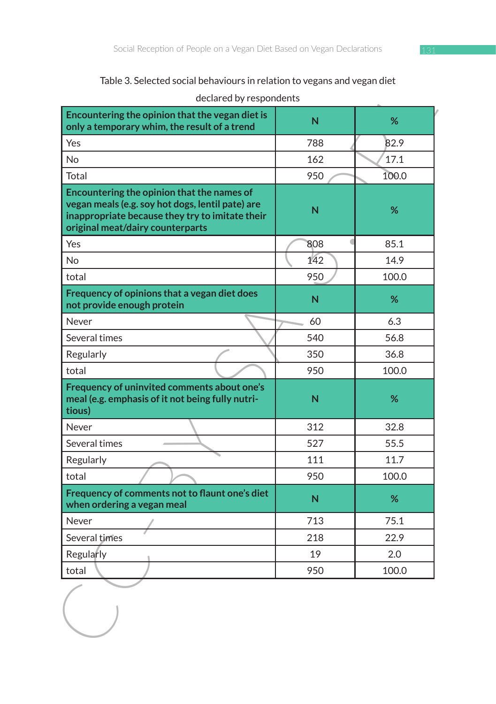Table 3. Selected social behaviours in relation to vegans and vegan diet

| declared by respondents                                                                                                                                                               | rable 5. Selected Social behaviours in relation to vegans and vegan diet |       |
|---------------------------------------------------------------------------------------------------------------------------------------------------------------------------------------|--------------------------------------------------------------------------|-------|
| Encountering the opinion that the vegan diet is<br>only a temporary whim, the result of a trend                                                                                       | N                                                                        | %     |
| Yes                                                                                                                                                                                   | 788                                                                      | 82.9  |
| <b>No</b>                                                                                                                                                                             | 162                                                                      | 17.1  |
| Total                                                                                                                                                                                 | 950                                                                      | 100.0 |
| Encountering the opinion that the names of<br>vegan meals (e.g. soy hot dogs, lentil pate) are<br>inappropriate because they try to imitate their<br>original meat/dairy counterparts | N                                                                        | %     |
| Yes                                                                                                                                                                                   | 808                                                                      | 85.1  |
| <b>No</b>                                                                                                                                                                             | 142                                                                      | 14.9  |
| total                                                                                                                                                                                 | 950                                                                      | 100.0 |
| Frequency of opinions that a vegan diet does<br>not provide enough protein                                                                                                            | N                                                                        | %     |
| Never                                                                                                                                                                                 | 60                                                                       | 6.3   |
| Several times                                                                                                                                                                         | 540                                                                      | 56.8  |
| Regularly                                                                                                                                                                             | 350                                                                      | 36.8  |
| total                                                                                                                                                                                 | 950                                                                      | 100.0 |
| Frequency of uninvited comments about one's<br>meal (e.g. emphasis of it not being fully nutri-<br>tious)                                                                             | N                                                                        | %     |
| Never                                                                                                                                                                                 | 312                                                                      | 32.8  |
| Several times                                                                                                                                                                         | 527                                                                      | 55.5  |
| Regularly                                                                                                                                                                             | 111                                                                      | 11.7  |
| total                                                                                                                                                                                 | 950                                                                      | 100.0 |
| Frequency of comments not to flaunt one's diet<br>when ordering a vegan meal                                                                                                          | N                                                                        | %     |
| Never                                                                                                                                                                                 | 713                                                                      | 75.1  |
| Several times                                                                                                                                                                         | 218                                                                      | 22.9  |
| Regularly                                                                                                                                                                             | 19                                                                       | 2.0   |
| total                                                                                                                                                                                 | 950                                                                      | 100.0 |
|                                                                                                                                                                                       |                                                                          |       |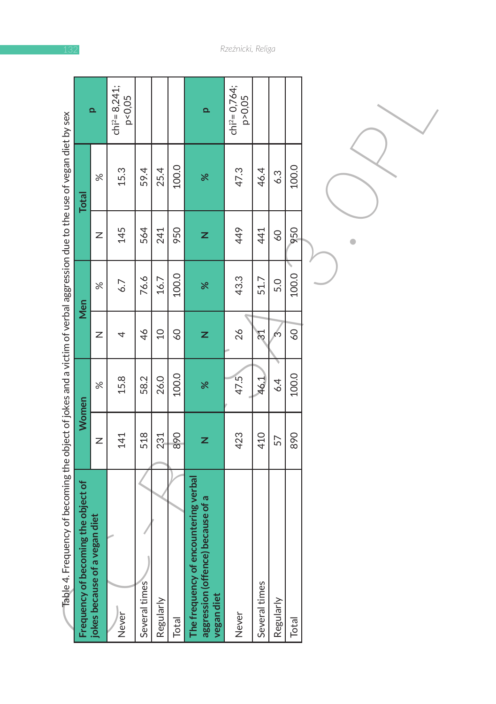| Table 4. Frequency of becoming the object of jokes and a victim of verbal aggression due to the use of vegan diet by sex |     |       |                 |       |                 |              |                              |
|--------------------------------------------------------------------------------------------------------------------------|-----|-------|-----------------|-------|-----------------|--------------|------------------------------|
| Frequency of becoming the object of                                                                                      |     | Women |                 | Men   |                 | <b>Total</b> |                              |
| jokes because of a vegan diet                                                                                            | Z   | $\%$  | Z               | $\%$  | Z               | $\%$         | $\overline{\mathbf{a}}$      |
| Never                                                                                                                    | 141 | 15.8  | 4               | 6.7   | 145             | 15.3         | $chi^2 = 8,241;$<br>p < 0,05 |
| Several times                                                                                                            | 518 | 58.2  | 46              | 76.6  | 564             | 59.4         |                              |
| Regularly                                                                                                                | 231 | 26.0  | $\Omega$        | 16.7  | 241             | 25.4         |                              |
| Total                                                                                                                    | 890 | 100.0 | $\overline{60}$ | 100.0 | 950             | 100.0        |                              |
| The frequency of encountering verbal<br>aggression (offence) because of a<br>vegan diet                                  | z   | ৯ৎ    | z               | ৯ৎ    | z               | $\aleph$     | $\overline{\mathbf{a}}$      |
| Never                                                                                                                    | 423 | 47.5  | 26              | 43.3  | 449             | 47.3         | $chi^2 = 0,764;$<br>p>0,05   |
| Several times                                                                                                            | 410 | 46.1  | 24              | 51.7  | 441             | 46.4         |                              |
| Regularly                                                                                                                | 57  | 6.4   | რ               | 5.0   | $\overline{60}$ | 6.3          |                              |
| Total                                                                                                                    | 890 | 100.0 | $\overline{60}$ | 100.0 | 950             | 100.0        |                              |
|                                                                                                                          |     |       |                 |       |                 |              |                              |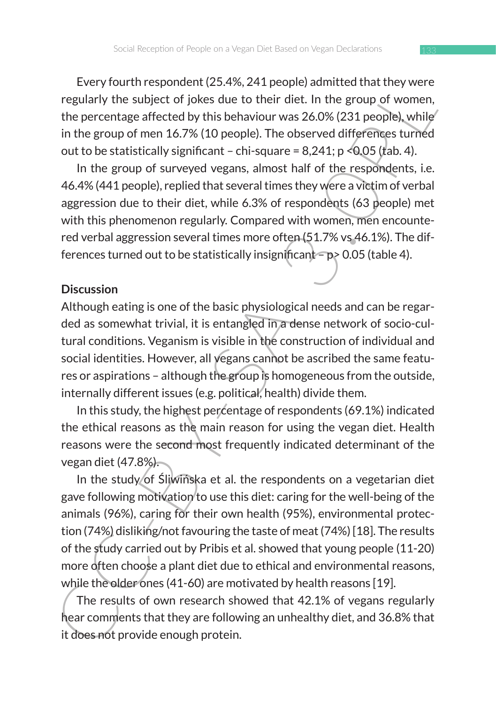Every fourth respondent (25.4%, 241 people) admitted that they were regularly the subject of jokes due to their diet. In the group of women, the percentage affected by this behaviour was 26.0% (231 people), while in the group of men 16.7% (10 people). The observed differences turned out to be statistically significant – chi-square =  $8,241$ ; p < 0.05 (tab. 4).

In the group of surveyed vegans, almost half of the respondents, i.e. 46.4% (441 people), replied that several times they were a victim of verbal aggression due to their diet, while 6.3% of respondents (63 people) met with this phenomenon regularly. Compared with women, men encountered verbal aggression several times more often (51.7% vs 46.1%). The differences turned out to be statistically insignificant –  $p$  > 0.05 (table 4).

#### **Discussion**

Although eating is one of the basic physiological needs and can be regarded as somewhat trivial, it is entangled in a dense network of socio-cultural conditions. Veganism is visible in the construction of individual and social identities. However, all vegans cannot be ascribed the same features or aspirations – although the group is homogeneous from the outside, internally different issues (e.g. political, health) divide them.

In this study, the highest percentage of respondents (69.1%) indicated the ethical reasons as the main reason for using the vegan diet. Health reasons were the second most frequently indicated determinant of the vegan diet (47.8%).

every nutries political,  $\lambda$ -s,  $24$  people admitted unit they were<br>every every out the subject of jokes due to their diet. In the group of women,<br>the percentage affected by this behaviour was 26.0% (231 people), while<br>i In the study of Śliwińska et al. the respondents on a vegetarian diet gave following motivation to use this diet: caring for the well-being of the animals (96%), caring for their own health (95%), environmental protection (74%) disliking/not favouring the taste of meat (74%) [18]. The results of the study carried out by Pribis et al. showed that young people (11-20) more often choose a plant diet due to ethical and environmental reasons, while the older ones (41-60) are motivated by health reasons [19].

The results of own research showed that 42.1% of vegans regularly hear comments that they are following an unhealthy diet, and 36.8% that it does not provide enough protein.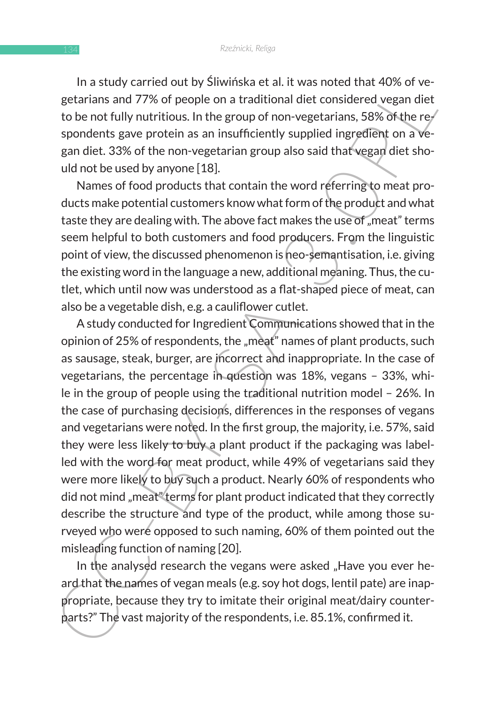In a study carried out by Śliwińska et al. it was noted that 40% of vegetarians and 77% of people on a traditional diet considered vegan diet to be not fully nutritious. In the group of non-vegetarians, 58% of the respondents gave protein as an insufficiently supplied ingredient on a vegan diet. 33% of the non-vegetarian group also said that vegan diet should not be used by anyone [18].

Names of food products that contain the word referring to meat products make potential customers know what form of the product and what taste they are dealing with. The above fact makes the use of "meat" terms seem helpful to both customers and food producers. From the linguistic point of view, the discussed phenomenon is neo-semantisation, i.e. giving the existing word in the language a new, additional meaning. Thus, the cutlet, which until now was understood as a flat-shaped piece of meat, can also be a vegetable dish, e.g. a cauliflower cutlet.

In a study can the may measure at at it was noted unat wot we head and the strainas and 77% of people on a traditional diet considered vegan diet to be not fully nutritious. In the group of non-vegetarians, 58% of the regi A study conducted for Ingredient Communications showed that in the opinion of 25% of respondents, the "meat" names of plant products, such as sausage, steak, burger, are incorrect and inappropriate. In the case of vegetarians, the percentage in question was 18%, vegans – 33%, while in the group of people using the traditional nutrition model – 26%. In the case of purchasing decisions, differences in the responses of vegans and vegetarians were noted. In the first group, the majority, i.e. 57%, said they were less likely to buy a plant product if the packaging was labelled with the word for meat product, while 49% of vegetarians said they were more likely to buy such a product. Nearly 60% of respondents who did not mind "meat" terms for plant product indicated that they correctly describe the structure and type of the product, while among those surveyed who were opposed to such naming, 60% of them pointed out the misleading function of naming [20].

In the analysed research the vegans were asked "Have you ever heard that the names of vegan meals (e.g. soy hot dogs, lentil pate) are inappropriate, because they try to imitate their original meat/dairy counterparts?" The vast majority of the respondents, i.e. 85.1%, confirmed it.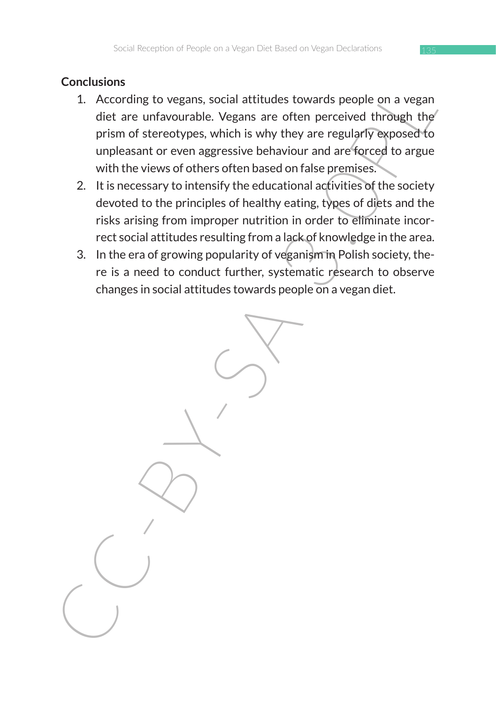# **Conclusions**

- 1. According to vegans, social attitudes towards people on a vegan diet are unfavourable. Vegans are often perceived through the prism of stereotypes, which is why they are regularly exposed to unpleasant or even aggressive behaviour and are forced to argue with the views of others often based on false premises.
- 2. It is necessary to intensify the educational activities of the society devoted to the principles of healthy eating, types of diets and the risks arising from improper nutrition in order to eliminate incorrect social attitudes resulting from a lack of knowledge in the area.
- 3. In the era of growing popularity of veganism in Polish society, there is a need to conduct further, systematic research to observe changes in social attitudes towards people on a vegan diet.

CHICHISTONISM CONTENT CONTENT CONTENT CONTENT CONTENT CONTENT CONTENT ON A CONTENT OF DETAIL OF DETAILS OF DETAILS USE AN IN THE WAY THE WAY THE WAY THE VIDEO SPRESS THAT IN DEPTEMBLE UP IN UNDERSTAND THE USE OF THE USE OF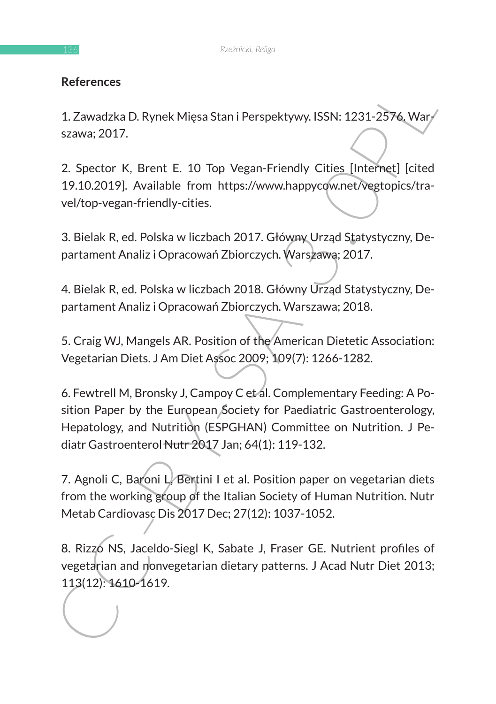# **References**

1. Zawadzka D. Rynek Mięsa Stan i Perspektywy. ISSN: 1231-2576. Warszawa; 2017.

2. Spector K, Brent E. 10 Top Vegan-Friendly Cities [Internet] [cited 19.10.2019]. Available from https://www.happycow.net/vegtopics/travel/top-vegan-friendly-cities.

3. Bielak R, ed. Polska w liczbach 2017. Główny Urząd Statystyczny, Departament Analiz i Opracowań Zbiorczych. Warszawa; 2017.

4. Bielak R, ed. Polska w liczbach 2018. Główny Urząd Statystyczny, Departament Analiz i Opracowań Zbiorczych. Warszawa; 2018.

5. Craig WJ, Mangels AR. Position of the American Dietetic Association: Vegetarian Diets. J Am Diet Assoc 2009; 109(7): 1266-1282.

References<br>
1. Zawadzka D. Rynek Mięsa Stan i Perspektywy. ISSN: 1231-2376, Wary<br>
szawa; 2017.<br>
2. Spector K. Brent E. 10 Top Vegan-Friendly Cities [Internet] [cited<br>
19.10.2019]. Available from https://www.happycow.net/ve 6. Fewtrell M, Bronsky J, Campoy C et al. Complementary Feeding: A Position Paper by the European Society for Paediatric Gastroenterology, Hepatology, and Nutrition (ESPGHAN) Committee on Nutrition. J Pediatr Gastroenterol Nutr 2017 Jan; 64(1): 119-132.

7. Agnoli C, Baroni L, Bertini I et al. Position paper on vegetarian diets from the working group of the Italian Society of Human Nutrition. Nutr Metab Cardiovasc Dis 2017 Dec; 27(12): 1037-1052.

8. Rizzo NS, Jaceldo-Siegl K, Sabate J, Fraser GE. Nutrient profiles of vegetarian and nonvegetarian dietary patterns. J Acad Nutr Diet 2013; 113(12): 1610-1619.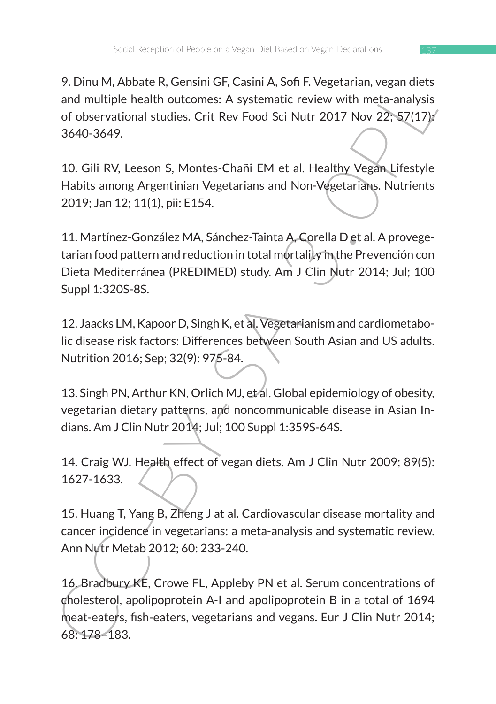9. Dinu M, Abbate R, Gensini GF, Casini A, Sofi F. Vegetarian, vegan diets and multiple health outcomes: A systematic review with meta-analysis of observational studies. Crit Rev Food Sci Nutr 2017 Nov 22; 57(17): 3640-3649.

10. Gili RV, Leeson S, Montes-Chañi EM et al. Healthy Vegan Lifestyle Habits among Argentinian Vegetarians and Non-Vegetarians. Nutrients 2019; Jan 12; 11(1), pii: E154.

11. Martínez-González MA, Sánchez-Tainta A, Corella D et al. A provegetarian food pattern and reduction in total mortality in the Prevención con Dieta Mediterránea (PREDIMED) study. Am J Clin Nutr 2014; Jul; 100 Suppl 1:320S-8S.

12. Jaacks LM, Kapoor D, Singh K, et al. Vegetarianism and cardiometabolic disease risk factors: Differences between South Asian and US adults. Nutrition 2016; Sep; 32(9): 975-84.

13. Singh PN, Arthur KN, Orlich MJ, et al. Global epidemiology of obesity, vegetarian dietary patterns, and noncommunicable disease in Asian Indians. Am J Clin Nutr 2014; Jul; 100 Suppl 1:359S-64S.

14. Craig WJ. Health effect of vegan diets. Am J Clin Nutr 2009; 89(5): 1627-1633.

15. Huang T, Yang B, Zheng J at al. Cardiovascular disease mortality and cancer incidence in vegetarians: a meta-analysis and systematic review. Ann Nutr Metab 2012; 60: 233-240.

9. Unit in , House K, centain it in , calini in , sui in . vegetarial in vegetarial in the canalysis of observational studies. Crit Rev Food Sci Nutr 2017 Nov 22, 57(17)<sup>3</sup><br>
3.000-3649.<br>
10. Gill RV, Leeson S, Montes-Chañi 16. Bradbury KE, Crowe FL, Appleby PN et al. Serum concentrations of cholesterol, apolipoprotein A-I and apolipoprotein B in a total of 1694 meat-eaters, fish-eaters, vegetarians and vegans. Eur J Clin Nutr 2014; 68: 178–183.